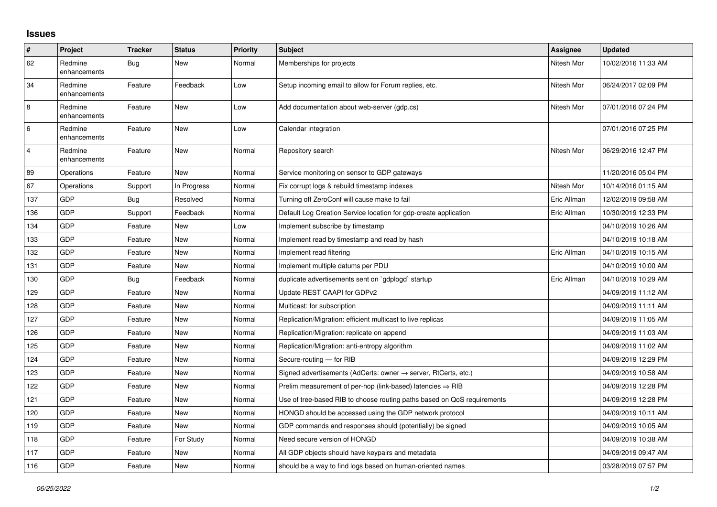## **Issues**

| $\sharp$                | Project                 | <b>Tracker</b> | <b>Status</b> | <b>Priority</b> | <b>Subject</b>                                                             | Assignee    | <b>Updated</b>      |
|-------------------------|-------------------------|----------------|---------------|-----------------|----------------------------------------------------------------------------|-------------|---------------------|
| 62                      | Redmine<br>enhancements | <b>Bug</b>     | <b>New</b>    | Normal          | Memberships for projects                                                   | Nitesh Mor  | 10/02/2016 11:33 AM |
| 34                      | Redmine<br>enhancements | Feature        | Feedback      | Low             | Setup incoming email to allow for Forum replies, etc.                      | Nitesh Mor  | 06/24/2017 02:09 PM |
| $\,8\,$                 | Redmine<br>enhancements | Feature        | <b>New</b>    | Low             | Add documentation about web-server (gdp.cs)                                | Nitesh Mor  | 07/01/2016 07:24 PM |
| 6                       | Redmine<br>enhancements | Feature        | <b>New</b>    | Low             | Calendar integration                                                       |             | 07/01/2016 07:25 PM |
| $\overline{\mathbf{4}}$ | Redmine<br>enhancements | Feature        | <b>New</b>    | Normal          | Repository search                                                          | Nitesh Mor  | 06/29/2016 12:47 PM |
| 89                      | Operations              | Feature        | <b>New</b>    | Normal          | Service monitoring on sensor to GDP gateways                               |             | 11/20/2016 05:04 PM |
| 67                      | Operations              | Support        | In Progress   | Normal          | Fix corrupt logs & rebuild timestamp indexes                               | Nitesh Mor  | 10/14/2016 01:15 AM |
| 137                     | <b>GDP</b>              | Bug            | Resolved      | Normal          | Turning off ZeroConf will cause make to fail                               | Eric Allman | 12/02/2019 09:58 AM |
| 136                     | GDP                     | Support        | Feedback      | Normal          | Default Log Creation Service location for gdp-create application           | Eric Allman | 10/30/2019 12:33 PM |
| 134                     | <b>GDP</b>              | Feature        | <b>New</b>    | Low             | Implement subscribe by timestamp                                           |             | 04/10/2019 10:26 AM |
| 133                     | <b>GDP</b>              | Feature        | New           | Normal          | Implement read by timestamp and read by hash                               |             | 04/10/2019 10:18 AM |
| 132                     | GDP                     | Feature        | <b>New</b>    | Normal          | Implement read filtering                                                   | Eric Allman | 04/10/2019 10:15 AM |
| 131                     | <b>GDP</b>              | Feature        | <b>New</b>    | Normal          | Implement multiple datums per PDU                                          |             | 04/10/2019 10:00 AM |
| 130                     | <b>GDP</b>              | Bug            | Feedback      | Normal          | duplicate advertisements sent on `gdplogd` startup                         | Eric Allman | 04/10/2019 10:29 AM |
| 129                     | <b>GDP</b>              | Feature        | <b>New</b>    | Normal          | Update REST CAAPI for GDPv2                                                |             | 04/09/2019 11:12 AM |
| 128                     | <b>GDP</b>              | Feature        | <b>New</b>    | Normal          | Multicast: for subscription                                                |             | 04/09/2019 11:11 AM |
| 127                     | GDP                     | Feature        | New           | Normal          | Replication/Migration: efficient multicast to live replicas                |             | 04/09/2019 11:05 AM |
| 126                     | GDP                     | Feature        | <b>New</b>    | Normal          | Replication/Migration: replicate on append                                 |             | 04/09/2019 11:03 AM |
| 125                     | <b>GDP</b>              | Feature        | <b>New</b>    | Normal          | Replication/Migration: anti-entropy algorithm                              |             | 04/09/2019 11:02 AM |
| 124                     | GDP                     | Feature        | New           | Normal          | Secure-routing - for RIB                                                   |             | 04/09/2019 12:29 PM |
| 123                     | GDP                     | Feature        | <b>New</b>    | Normal          | Signed advertisements (AdCerts: owner $\rightarrow$ server, RtCerts, etc.) |             | 04/09/2019 10:58 AM |
| 122                     | <b>GDP</b>              | Feature        | <b>New</b>    | Normal          | Prelim measurement of per-hop (link-based) latencies $\Rightarrow$ RIB     |             | 04/09/2019 12:28 PM |
| 121                     | GDP                     | Feature        | New           | Normal          | Use of tree-based RIB to choose routing paths based on QoS requirements    |             | 04/09/2019 12:28 PM |
| 120                     | GDP                     | Feature        | <b>New</b>    | Normal          | HONGD should be accessed using the GDP network protocol                    |             | 04/09/2019 10:11 AM |
| 119                     | GDP                     | Feature        | <b>New</b>    | Normal          | GDP commands and responses should (potentially) be signed                  |             | 04/09/2019 10:05 AM |
| 118                     | GDP                     | Feature        | For Study     | Normal          | Need secure version of HONGD                                               |             | 04/09/2019 10:38 AM |
| 117                     | GDP                     | Feature        | <b>New</b>    | Normal          | All GDP objects should have keypairs and metadata                          |             | 04/09/2019 09:47 AM |
| 116                     | GDP                     | Feature        | <b>New</b>    | Normal          | should be a way to find logs based on human-oriented names                 |             | 03/28/2019 07:57 PM |